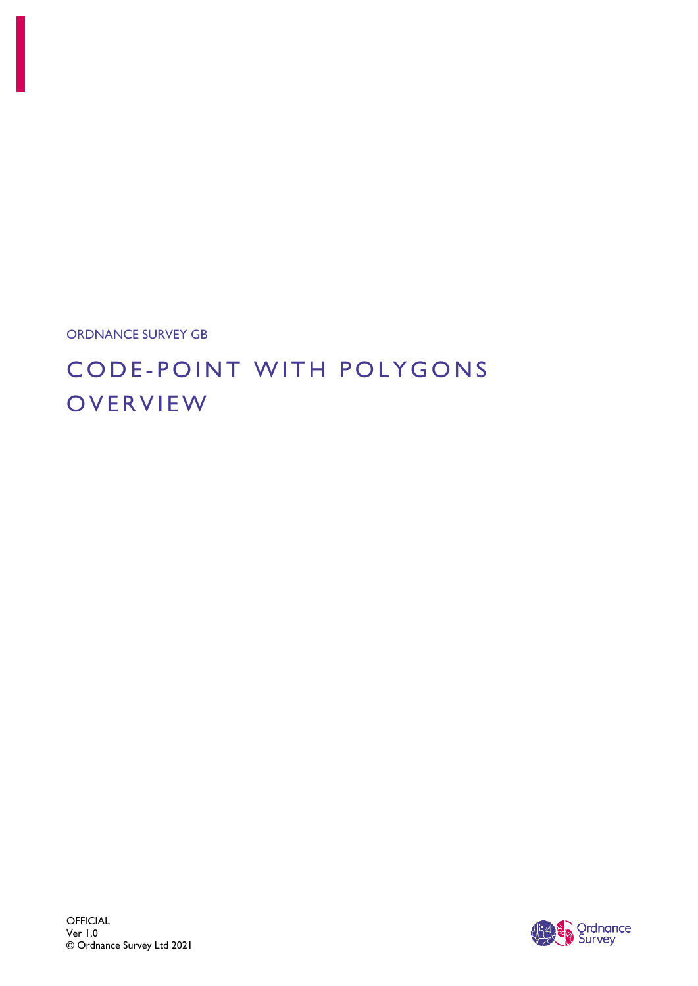

# CODE - POINT WITH POLYGONS **OVERVIEW**

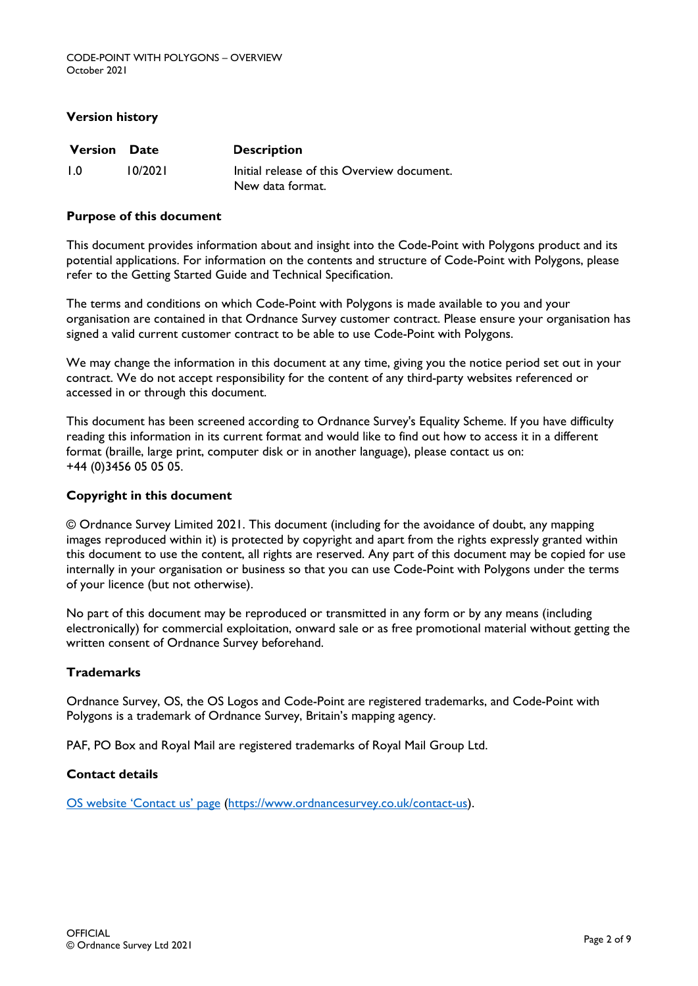#### **Version history**

| <b>Version Date</b> |         | <b>Description</b>                         |  |
|---------------------|---------|--------------------------------------------|--|
| $\overline{1}$ .0   | 10/2021 | Initial release of this Overview document. |  |
|                     |         | New data format.                           |  |

#### **Purpose of this document**

This document provides information about and insight into the Code-Point with Polygons product and its potential applications. For information on the contents and structure of Code-Point with Polygons, please refer to the Getting Started Guide and Technical Specification.

The terms and conditions on which Code-Point with Polygons is made available to you and your organisation are contained in that Ordnance Survey customer contract. Please ensure your organisation has signed a valid current customer contract to be able to use Code-Point with Polygons.

We may change the information in this document at any time, giving you the notice period set out in your contract. We do not accept responsibility for the content of any third-party websites referenced or accessed in or through this document.

This document has been screened according to Ordnance Survey's Equality Scheme. If you have difficulty reading this information in its current format and would like to find out how to access it in a different format (braille, large print, computer disk or in another language), please contact us on: +44 (0)3456 05 05 05.

#### **Copyright in this document**

© Ordnance Survey Limited 2021. This document (including for the avoidance of doubt, any mapping images reproduced within it) is protected by copyright and apart from the rights expressly granted within this document to use the content, all rights are reserved. Any part of this document may be copied for use internally in your organisation or business so that you can use Code-Point with Polygons under the terms of your licence (but not otherwise).

No part of this document may be reproduced or transmitted in any form or by any means (including electronically) for commercial exploitation, onward sale or as free promotional material without getting the written consent of Ordnance Survey beforehand.

#### **Trademarks**

Ordnance Survey, OS, the OS Logos and Code-Point are registered trademarks, and Code-Point with Polygons is a trademark of Ordnance Survey, Britain's mapping agency.

PAF, PO Box and Royal Mail are registered trademarks of Royal Mail Group Ltd.

#### **Contact details**

[OS website 'Contact us' page](https://www.ordnancesurvey.co.uk/contact-us) [\(https://www.ordnancesurvey.co.uk/contact-us\)](https://www.ordnancesurvey.co.uk/contact-us).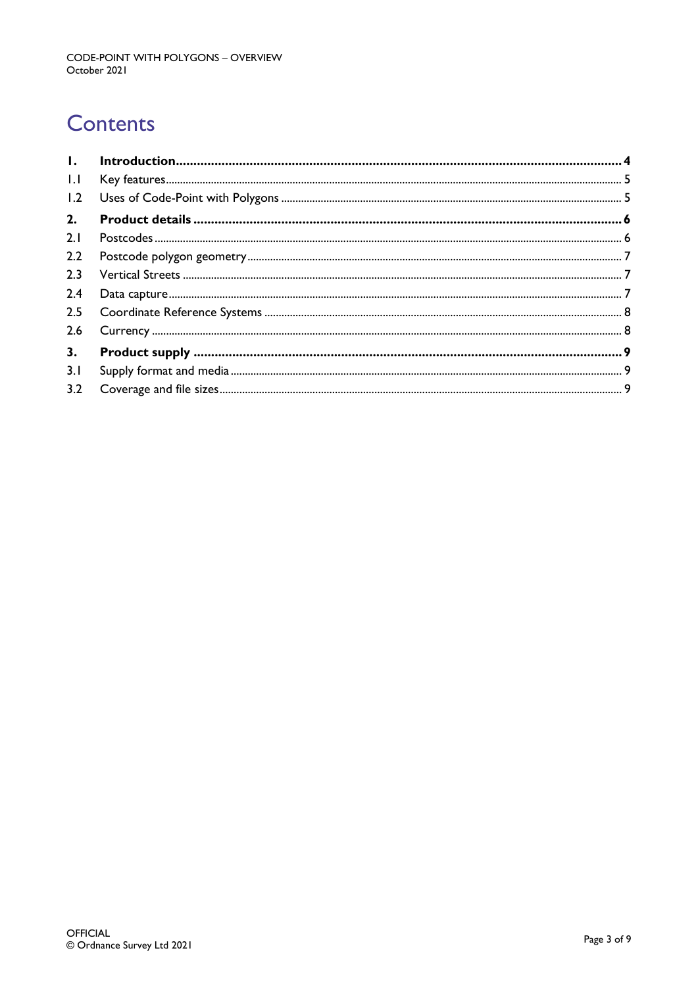# **Contents**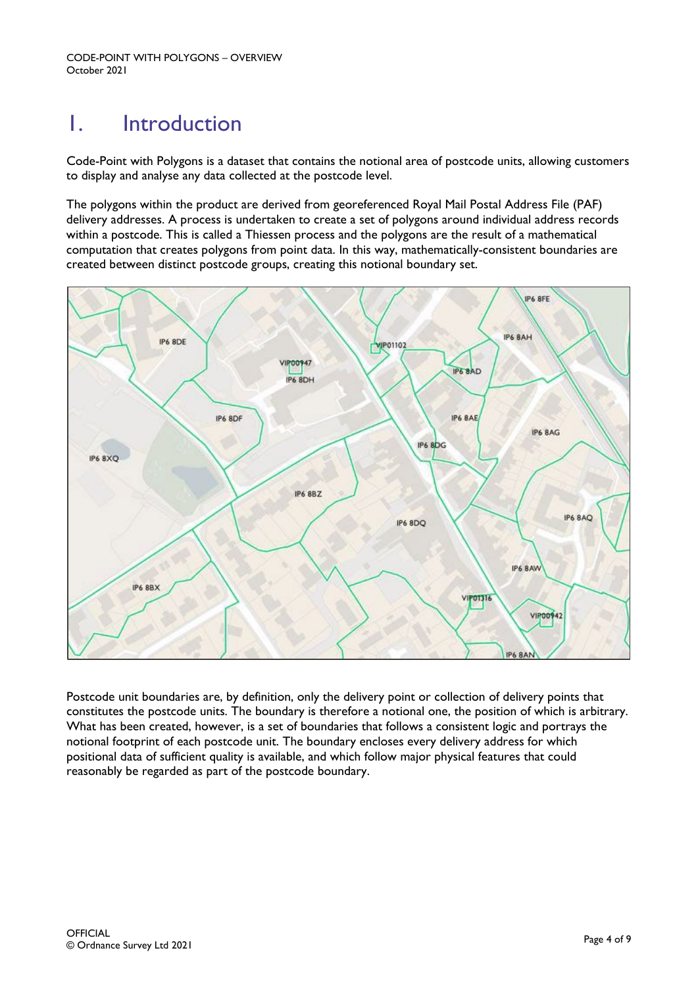# <span id="page-3-0"></span>1. Introduction

Code-Point with Polygons is a dataset that contains the notional area of postcode units, allowing customers to display and analyse any data collected at the postcode level.

The polygons within the product are derived from georeferenced Royal Mail Postal Address File (PAF) delivery addresses. A process is undertaken to create a set of polygons around individual address records within a postcode. This is called a Thiessen process and the polygons are the result of a mathematical computation that creates polygons from point data. In this way, mathematically-consistent boundaries are created between distinct postcode groups, creating this notional boundary set.



Postcode unit boundaries are, by definition, only the delivery point or collection of delivery points that constitutes the postcode units. The boundary is therefore a notional one, the position of which is arbitrary. What has been created, however, is a set of boundaries that follows a consistent logic and portrays the notional footprint of each postcode unit. The boundary encloses every delivery address for which positional data of sufficient quality is available, and which follow major physical features that could reasonably be regarded as part of the postcode boundary.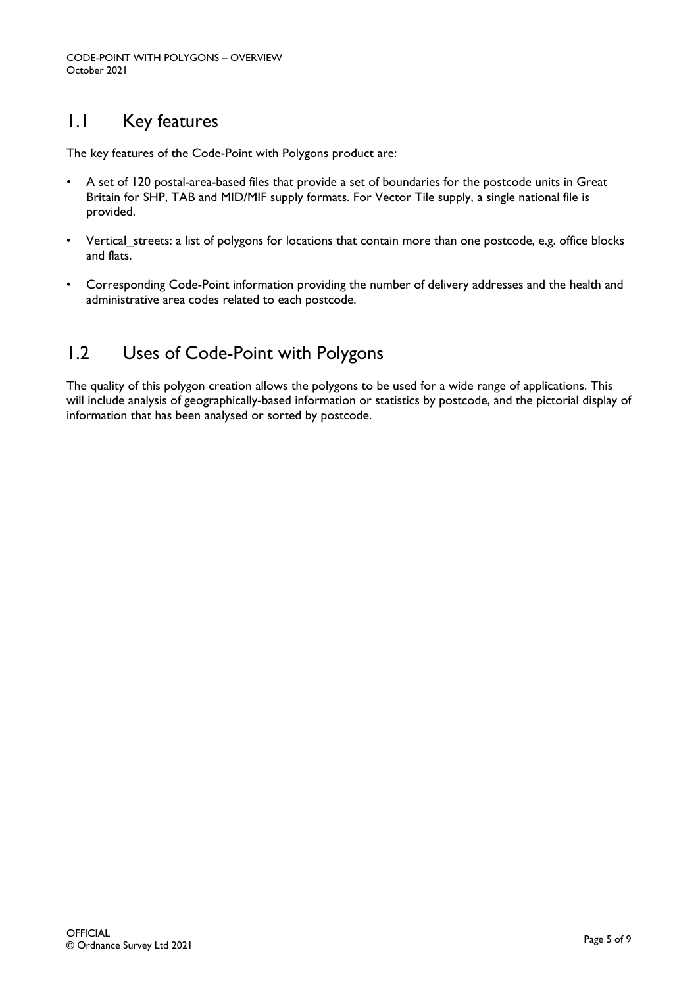## <span id="page-4-0"></span>1.1 Key features

The key features of the Code-Point with Polygons product are:

- A set of 120 postal-area-based files that provide a set of boundaries for the postcode units in Great Britain for SHP, TAB and MID/MIF supply formats. For Vector Tile supply, a single national file is provided.
- Vertical streets: a list of polygons for locations that contain more than one postcode, e.g. office blocks and flats.
- Corresponding Code-Point information providing the number of delivery addresses and the health and administrative area codes related to each postcode.

## <span id="page-4-1"></span>1.2 Uses of Code-Point with Polygons

The quality of this polygon creation allows the polygons to be used for a wide range of applications. This will include analysis of geographically-based information or statistics by postcode, and the pictorial display of information that has been analysed or sorted by postcode.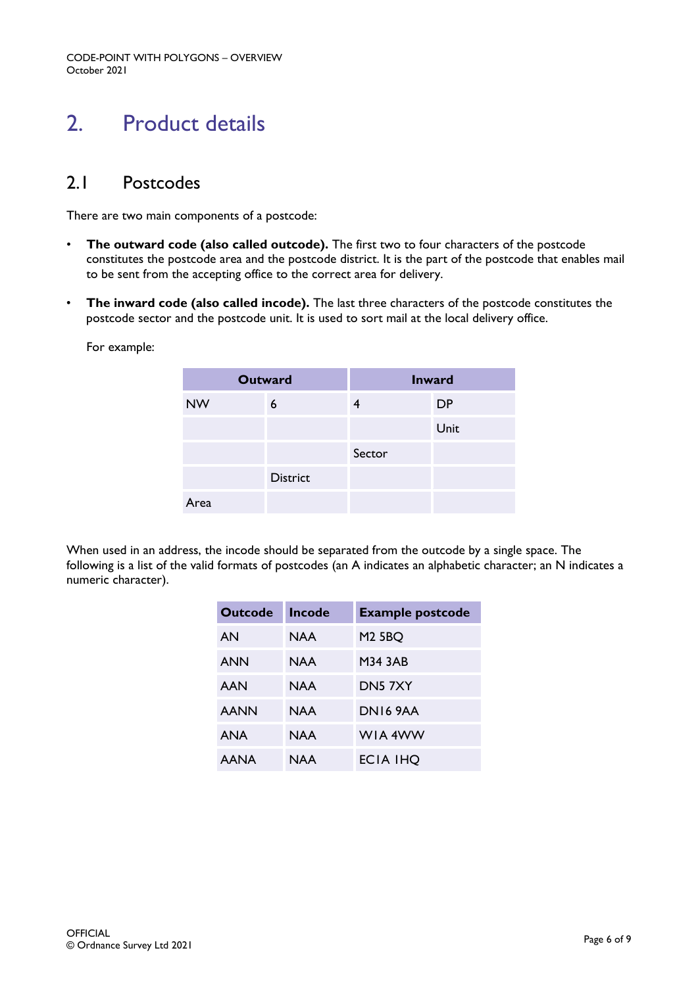CODE-POINT WITH POLYGONS – OVERVIEW October 2021

# <span id="page-5-0"></span>2. Product details

### <span id="page-5-1"></span>2.1 Postcodes

There are two main components of a postcode:

- **The outward code (also called outcode).** The first two to four characters of the postcode constitutes the postcode area and the postcode district. It is the part of the postcode that enables mail to be sent from the accepting office to the correct area for delivery.
- **The inward code (also called incode).** The last three characters of the postcode constitutes the postcode sector and the postcode unit. It is used to sort mail at the local delivery office.

For example:

| <b>Outward</b> |                 | <b>Inward</b> |           |
|----------------|-----------------|---------------|-----------|
| <b>NW</b>      | 6               |               | <b>DP</b> |
|                |                 |               | Unit      |
|                |                 | Sector        |           |
|                | <b>District</b> |               |           |
| Area           |                 |               |           |

When used in an address, the incode should be separated from the outcode by a single space. The following is a list of the valid formats of postcodes (an A indicates an alphabetic character; an N indicates a numeric character).

| <b>Outcode</b> | Incode | <b>Example postcode</b> |
|----------------|--------|-------------------------|
| AN             | NAA    | <b>M2 5BQ</b>           |
| <b>ANN</b>     | NAA    | <b>M34 3AB</b>          |
| AAN            | NAA    | DN57XY                  |
| <b>AANN</b>    | NAA    | DNIK 9AA                |
| ANA            | NAA    | WIA 4WW                 |
| <b>AANA</b>    | NAA    | ECIA IHO                |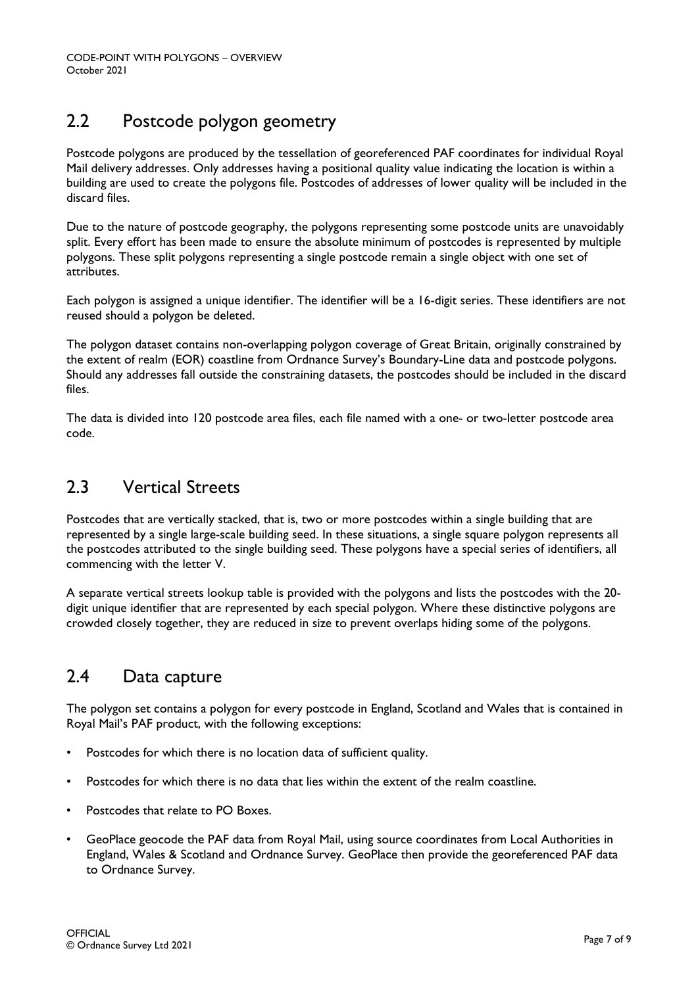## <span id="page-6-0"></span>2.2 Postcode polygon geometry

Postcode polygons are produced by the tessellation of georeferenced PAF coordinates for individual Royal Mail delivery addresses. Only addresses having a positional quality value indicating the location is within a building are used to create the polygons file. Postcodes of addresses of lower quality will be included in the discard files.

Due to the nature of postcode geography, the polygons representing some postcode units are unavoidably split. Every effort has been made to ensure the absolute minimum of postcodes is represented by multiple polygons. These split polygons representing a single postcode remain a single object with one set of attributes.

Each polygon is assigned a unique identifier. The identifier will be a 16-digit series. These identifiers are not reused should a polygon be deleted.

The polygon dataset contains non-overlapping polygon coverage of Great Britain, originally constrained by the extent of realm (EOR) coastline from Ordnance Survey's Boundary-Line data and postcode polygons. Should any addresses fall outside the constraining datasets, the postcodes should be included in the discard files.

The data is divided into 120 postcode area files, each file named with a one- or two-letter postcode area code.

### <span id="page-6-1"></span>2.3 Vertical Streets

Postcodes that are vertically stacked, that is, two or more postcodes within a single building that are represented by a single large-scale building seed. In these situations, a single square polygon represents all the postcodes attributed to the single building seed. These polygons have a special series of identifiers, all commencing with the letter V.

A separate vertical streets lookup table is provided with the polygons and lists the postcodes with the 20 digit unique identifier that are represented by each special polygon. Where these distinctive polygons are crowded closely together, they are reduced in size to prevent overlaps hiding some of the polygons.

### <span id="page-6-2"></span>2.4 Data capture

The polygon set contains a polygon for every postcode in England, Scotland and Wales that is contained in Royal Mail's PAF product, with the following exceptions:

- Postcodes for which there is no location data of sufficient quality.
- Postcodes for which there is no data that lies within the extent of the realm coastline.
- Postcodes that relate to PO Boxes.
- GeoPlace geocode the PAF data from Royal Mail, using source coordinates from Local Authorities in England, Wales & Scotland and Ordnance Survey. GeoPlace then provide the georeferenced PAF data to Ordnance Survey.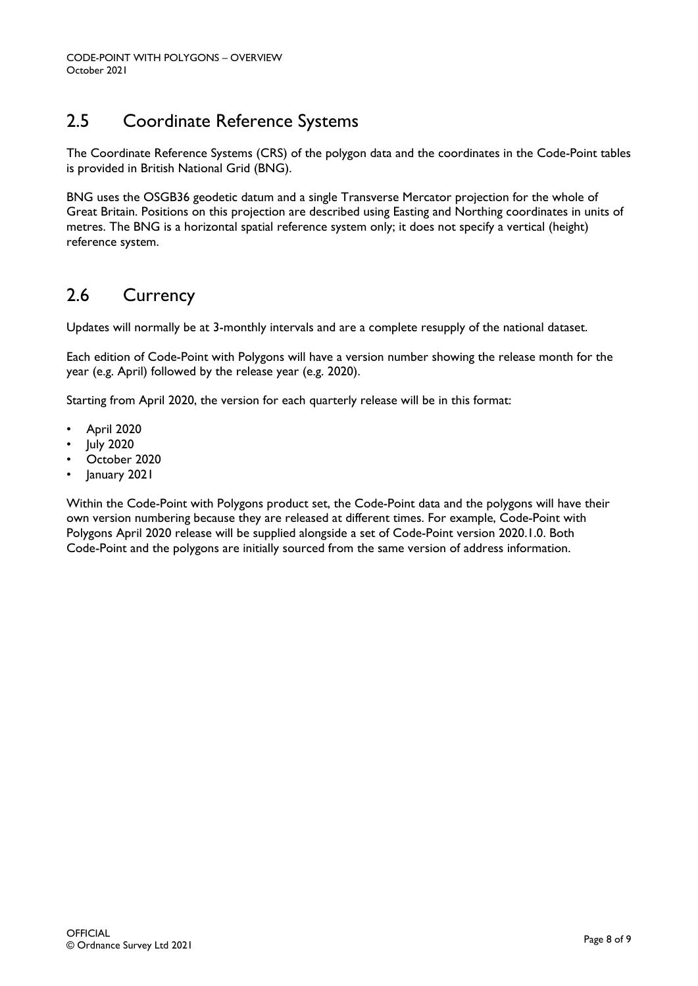## <span id="page-7-0"></span>2.5 Coordinate Reference Systems

The Coordinate Reference Systems (CRS) of the polygon data and the coordinates in the Code-Point tables is provided in British National Grid (BNG).

BNG uses the OSGB36 geodetic datum and a single Transverse Mercator projection for the whole of Great Britain. Positions on this projection are described using Easting and Northing coordinates in units of metres. The BNG is a horizontal spatial reference system only; it does not specify a vertical (height) reference system.

## <span id="page-7-1"></span>2.6 Currency

Updates will normally be at 3-monthly intervals and are a complete resupply of the national dataset.

Each edition of Code-Point with Polygons will have a version number showing the release month for the year (e.g. April) followed by the release year (e.g. 2020).

Starting from April 2020, the version for each quarterly release will be in this format:

- April 2020
- July 2020
- October 2020
- January 2021

Within the Code-Point with Polygons product set, the Code-Point data and the polygons will have their own version numbering because they are released at different times. For example, Code-Point with Polygons April 2020 release will be supplied alongside a set of Code-Point version 2020.1.0. Both Code-Point and the polygons are initially sourced from the same version of address information.